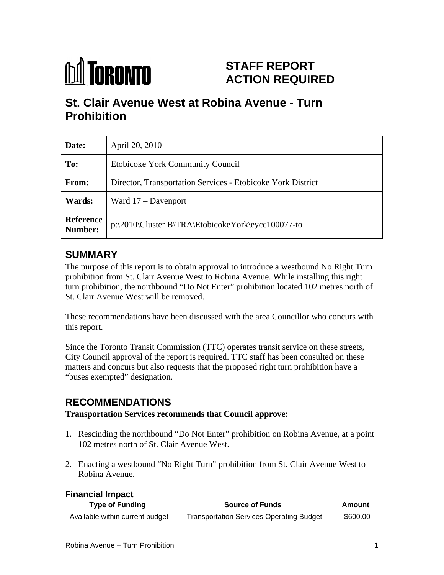

# **STAFF REPORT ACTION REQUIRED**

# **St. Clair Avenue West at Robina Avenue - Turn Prohibition**

| Date:         | April 20, 2010                                                 |
|---------------|----------------------------------------------------------------|
| To:           | Etobicoke York Community Council                               |
| From:         | Director, Transportation Services - Etobicoke York District    |
| <b>Wards:</b> | Ward 17 – Davenport                                            |
|               | Reference<br>P:\2010\Cluster B\TRA\EtobicokeYork\eycc100077-to |

# **SUMMARY**

The purpose of this report is to obtain approval to introduce a westbound No Right Turn prohibition from St. Clair Avenue West to Robina Avenue. While installing this right turn prohibition, the northbound "Do Not Enter" prohibition located 102 metres north of St. Clair Avenue West will be removed.

These recommendations have been discussed with the area Councillor who concurs with this report.

Since the Toronto Transit Commission (TTC) operates transit service on these streets, City Council approval of the report is required. TTC staff has been consulted on these matters and concurs but also requests that the proposed right turn prohibition have a "buses exempted" designation.

# **RECOMMENDATIONS**

#### **Transportation Services recommends that Council approve:**

- 1. Rescinding the northbound "Do Not Enter" prohibition on Robina Avenue, at a point 102 metres north of St. Clair Avenue West.
- 2. Enacting a westbound "No Right Turn" prohibition from St. Clair Avenue West to Robina Avenue.

#### **Financial Impact**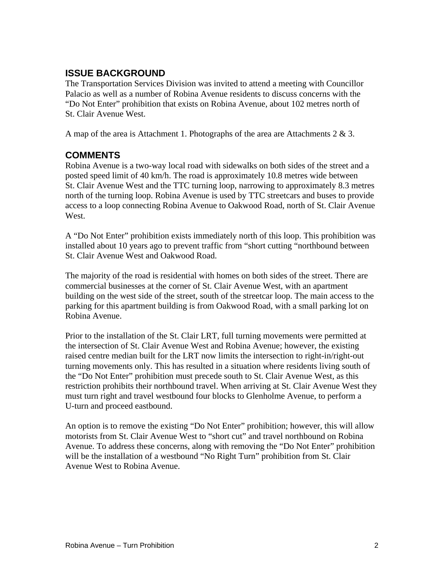### **ISSUE BACKGROUND**

The Transportation Services Division was invited to attend a meeting with Councillor Palacio as well as a number of Robina Avenue residents to discuss concerns with the "Do Not Enter" prohibition that exists on Robina Avenue, about 102 metres north of St. Clair Avenue West.

A map of the area is Attachment 1. Photographs of the area are Attachments  $2 \& 3$ .

### **COMMENTS**

Robina Avenue is a two-way local road with sidewalks on both sides of the street and a posted speed limit of 40 km/h. The road is approximately 10.8 metres wide between St. Clair Avenue West and the TTC turning loop, narrowing to approximately 8.3 metres north of the turning loop. Robina Avenue is used by TTC streetcars and buses to provide access to a loop connecting Robina Avenue to Oakwood Road, north of St. Clair Avenue West.

A "Do Not Enter" prohibition exists immediately north of this loop. This prohibition was installed about 10 years ago to prevent traffic from "short cutting "northbound between St. Clair Avenue West and Oakwood Road.

The majority of the road is residential with homes on both sides of the street. There are commercial businesses at the corner of St. Clair Avenue West, with an apartment building on the west side of the street, south of the streetcar loop. The main access to the parking for this apartment building is from Oakwood Road, with a small parking lot on Robina Avenue.

Prior to the installation of the St. Clair LRT, full turning movements were permitted at the intersection of St. Clair Avenue West and Robina Avenue; however, the existing raised centre median built for the LRT now limits the intersection to right-in/right-out turning movements only. This has resulted in a situation where residents living south of the "Do Not Enter" prohibition must precede south to St. Clair Avenue West, as this restriction prohibits their northbound travel. When arriving at St. Clair Avenue West they must turn right and travel westbound four blocks to Glenholme Avenue, to perform a U-turn and proceed eastbound.

An option is to remove the existing "Do Not Enter" prohibition; however, this will allow motorists from St. Clair Avenue West to "short cut" and travel northbound on Robina Avenue. To address these concerns, along with removing the "Do Not Enter" prohibition will be the installation of a westbound "No Right Turn" prohibition from St. Clair Avenue West to Robina Avenue.